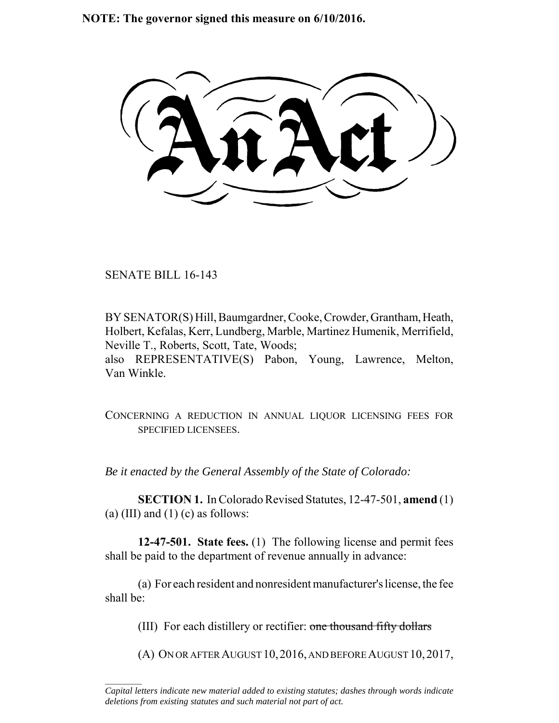**NOTE: The governor signed this measure on 6/10/2016.**

SENATE BILL 16-143

 $\frac{1}{2}$ 

BY SENATOR(S) Hill, Baumgardner, Cooke, Crowder, Grantham, Heath, Holbert, Kefalas, Kerr, Lundberg, Marble, Martinez Humenik, Merrifield, Neville T., Roberts, Scott, Tate, Woods; also REPRESENTATIVE(S) Pabon, Young, Lawrence, Melton, Van Winkle.

CONCERNING A REDUCTION IN ANNUAL LIQUOR LICENSING FEES FOR SPECIFIED LICENSEES.

*Be it enacted by the General Assembly of the State of Colorado:*

**SECTION 1.** In Colorado Revised Statutes, 12-47-501, **amend** (1) (a) (III) and (1) (c) as follows:

**12-47-501. State fees.** (1) The following license and permit fees shall be paid to the department of revenue annually in advance:

(a) For each resident and nonresident manufacturer's license, the fee shall be:

(III) For each distillery or rectifier: one thousand fifty dollars

(A) ON OR AFTER AUGUST 10,2016, AND BEFORE AUGUST 10,2017,

*Capital letters indicate new material added to existing statutes; dashes through words indicate deletions from existing statutes and such material not part of act.*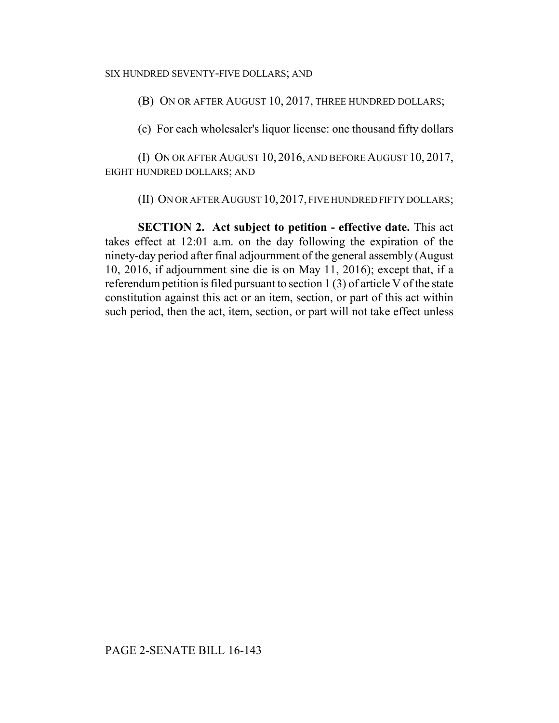## SIX HUNDRED SEVENTY-FIVE DOLLARS; AND

(B) ON OR AFTER AUGUST 10, 2017, THREE HUNDRED DOLLARS;

(c) For each wholesaler's liquor license: one thousand fifty dollars

(I) ON OR AFTER AUGUST 10, 2016, AND BEFORE AUGUST 10, 2017, EIGHT HUNDRED DOLLARS; AND

(II) ON OR AFTER AUGUST 10, 2017, FIVE HUNDRED FIFTY DOLLARS;

**SECTION 2. Act subject to petition - effective date.** This act takes effect at 12:01 a.m. on the day following the expiration of the ninety-day period after final adjournment of the general assembly (August 10, 2016, if adjournment sine die is on May 11, 2016); except that, if a referendum petition is filed pursuant to section 1 (3) of article V of the state constitution against this act or an item, section, or part of this act within such period, then the act, item, section, or part will not take effect unless